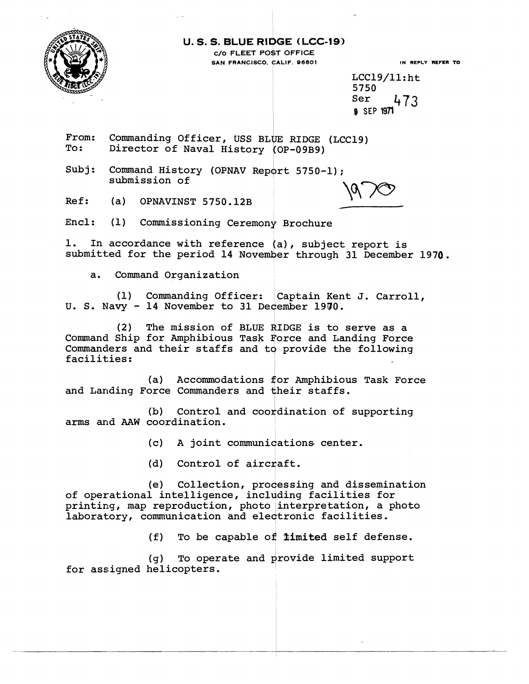

**IN REPLY REFER TO** 

 $LCC19/11:$ ht 5750 Ser 473 **8 SEP 1971** 

From: Commanding Officer, USS BLUE RIDGE (LCC19)<br>To: Director of Naval History (OP-09B9)

Subj: Command History (OPNAV Report 5750-1); submission of  $\begin{CD} \text{submission of} \ \text{Ref:} \qquad \text{(a)} \quad \text{OPNAVINST } 5750.12B \end{CD}$ 

Encl: (1) Commissioning ceremony Brochure

1. In accordance with reference (a), subject report is submitted for the period 14 November through 31 December 1970.

a. Command Organization

(1) Commanding Officer: Captain Kent J. Carroll, U. S. Navy - 14 November to 31 December 1970.

(2) The mission of BLUE RIDGE is to serve as a Command Ship for Amphibious Task Force and Landing Force Commanders and their staffs and to provide the following<br>facilities:

(a) Accommodations for Amphibious Task Force and Landing Force Commanders and their staffs.

(b) Control and coordination of supporting arms and **AAW** coordination.

(c) A joint communications center.

(d) Control of aircraft.

(e) Collection, processing and dissemination of operational intelligence, including facilities for printing, map reproduction, photo interpretation, a photo laboratory, communication and electronic facilities.

(f) To be capable of imited self defense.

(g) To operate and provide limited support for assigned helicopters.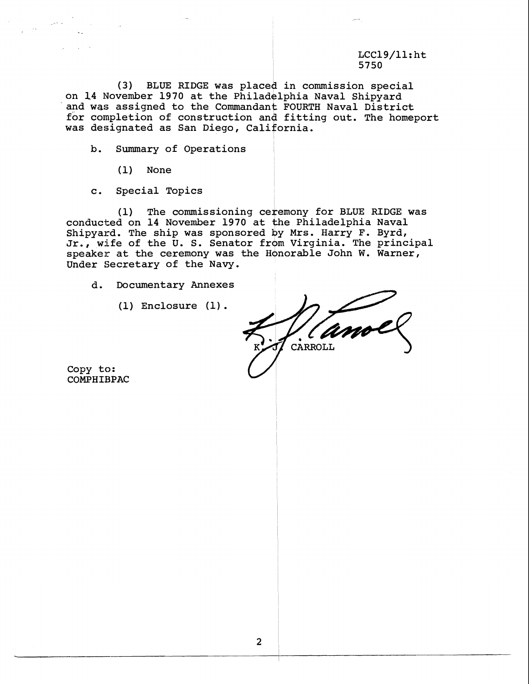## $LCC19/11:$ ht 5750

(3) BLUE RIDGE was placed in commission special on 14 November 1970 at the Philadelphia Naval Shipyard and was assigned to the Commandant FOURTH Naval District for completion of construction and fitting out. The homeport was designated as San Diego, Cali

b. Summary of Operations

(1) None

c. Special Topics

(1) The commissioning ceremony for BLUE RIDGE was conducted on 14 November 1970 at the Philadelphia Naval Shipyard. The ship was sponsored by Mrs. Harry F. Byrd, Jr., wife of the  $\bar{U}$ . S. Senator from Virginia. The principal speaker at the ceremony was the Honorable John W. Warner, Under Secretary of the Navy.

d. Documentary Annexes

 $(1)$  Enclosure  $(1)$ .

CARROLL

Copy to: COMPHIBPAC